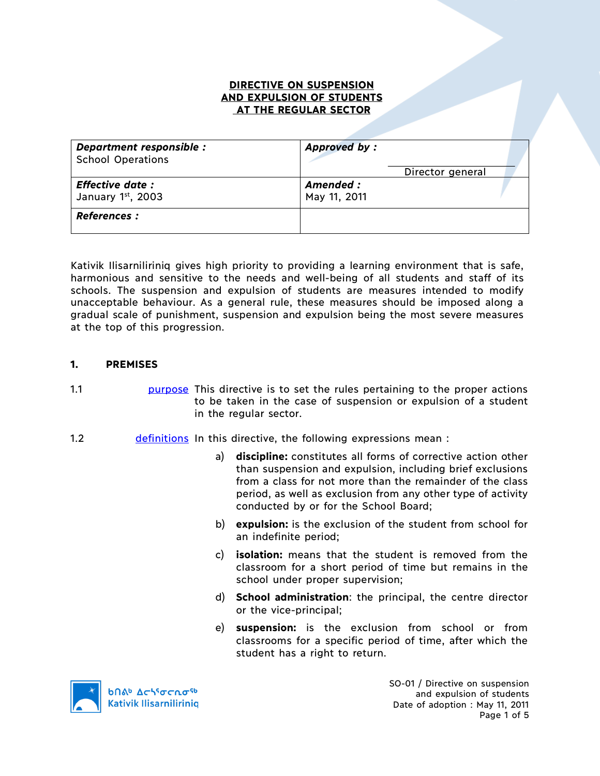### **DIRECTIVE ON SUSPENSION AND EXPULSION OF STUDENTS AT THE REGULAR SECTOR**

| Department responsible :<br><b>School Operations</b> | <b>Approved by:</b>       |  |
|------------------------------------------------------|---------------------------|--|
|                                                      | Director general          |  |
| <b>Effective date:</b><br>January 1st, 2003          | Amended :<br>May 11, 2011 |  |
| <b>References :</b>                                  |                           |  |

Kativik Ilisarniliriniq gives high priority to providing a learning environment that is safe, harmonious and sensitive to the needs and well-being of all students and staff of its schools. The suspension and expulsion of students are measures intended to modify unacceptable behaviour. As a general rule, these measures should be imposed along a gradual scale of punishment, suspension and expulsion being the most severe measures at the top of this progression.

## **1. PREMISES**

- 1.1 **purpose** This directive is to set the rules pertaining to the proper actions to be taken in the case of suspension or expulsion of a student in the regular sector.
- 1.2 definitions In this directive, the following expressions mean :
	- a) **discipline:** constitutes all forms of corrective action other than suspension and expulsion, including brief exclusions from a class for not more than the remainder of the class period, as well as exclusion from any other type of activity conducted by or for the School Board;
	- b) **expulsion:** is the exclusion of the student from school for an indefinite period;
	- c) **isolation:** means that the student is removed from the classroom for a short period of time but remains in the school under proper supervision;
	- d) **School administration**: the principal, the centre director or the vice-principal;
	- e) **suspension:** is the exclusion from school or from classrooms for a specific period of time, after which the student has a right to return.



SO-01 / Directive on suspension and expulsion of students Date of adoption : May 11, 2011 Page 1 of 5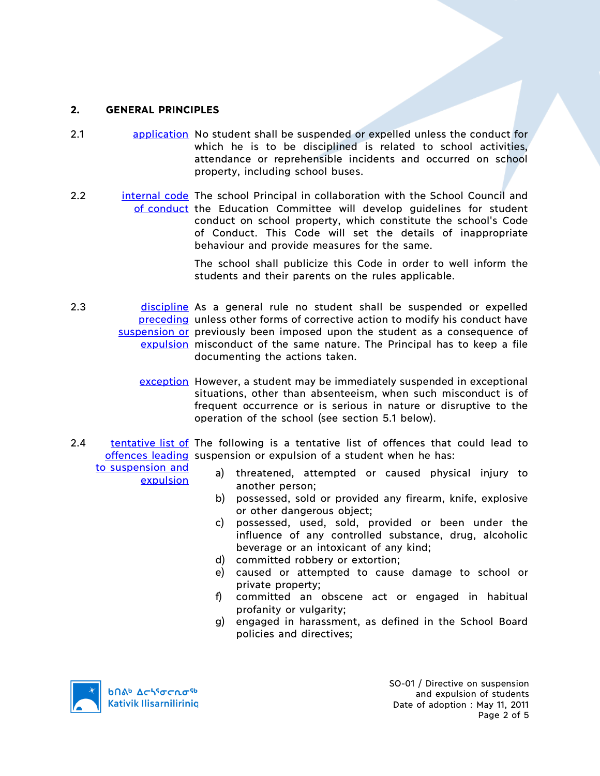# **2. GENERAL PRINCIPLES**

- 2.1 **application** No student shall be suspended or expelled unless the conduct for which he is to be disciplined is related to school activities, attendance or reprehensible incidents and occurred on school property, including school buses.
- 2.2 **internal code** The school Principal in collaboration with the School Council and of conduct the Education Committee will develop guidelines for student conduct on school property, which constitute the school's Code of Conduct. This Code will set the details of inappropriate behaviour and provide measures for the same.

The school shall publicize this Code in order to well inform the students and their parents on the rules applicable.

- 2.3 discipline As a general rule no student shall be suspended or expelled preceding unless other forms of corrective action to modify his conduct have suspension or previously been imposed upon the student as a consequence of expulsion misconduct of the same nature. The Principal has to keep a file documenting the actions taken.
	- exception However, a student may be immediately suspended in exceptional situations, other than absenteeism, when such misconduct is of frequent occurrence or is serious in nature or disruptive to the operation of the school (see section 5.1 below).
- 2.4 tentative list of The following is a tentative list of offences that could lead to offences leading suspension or expulsion of a student when he has:

to suspension and expulsion

- a) threatened, attempted or caused physical injury to another person;
- b) possessed, sold or provided any firearm, knife, explosive or other dangerous object;
- c) possessed, used, sold, provided or been under the influence of any controlled substance, drug, alcoholic beverage or an intoxicant of any kind;
- d) committed robbery or extortion;
- e) caused or attempted to cause damage to school or private property;
- f) committed an obscene act or engaged in habitual profanity or vulgarity;
- g) engaged in harassment, as defined in the School Board policies and directives;

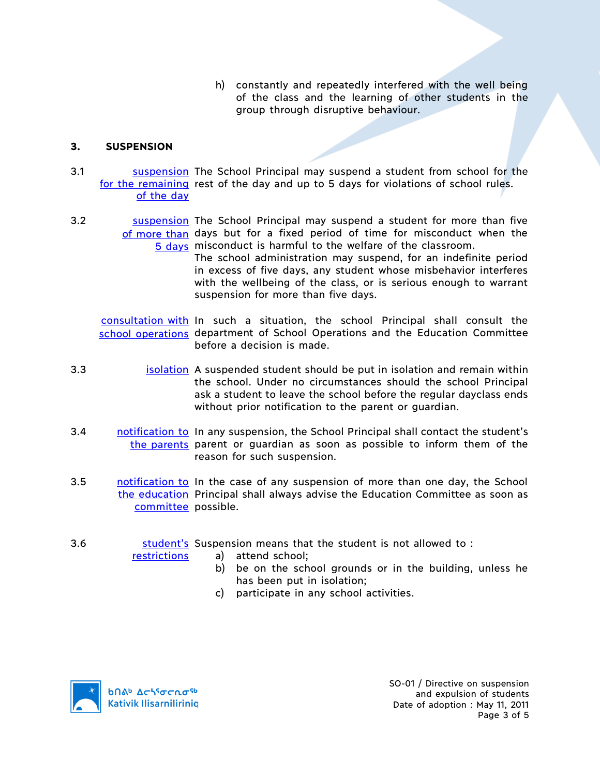h) constantly and repeatedly interfered with the well being of the class and the learning of other students in the group through disruptive behaviour.

### **3. SUSPENSION**

- 3.1 Suspension The School Principal may suspend a student from school for the for the remaining rest of the day and up to 5 days for violations of school rules. of the day
- 3.2 Suspension The School Principal may suspend a student for more than five of more than days but for a fixed period of time for misconduct when the 5 days misconduct is harmful to the welfare of the classroom.

The school administration may suspend, for an indefinite period in excess of five days, any student whose misbehavior interferes with the wellbeing of the class, or is serious enough to warrant suspension for more than five days.

consultation with In such a situation, the school Principal shall consult the school operations department of School Operations and the Education Committee before a decision is made.

- 3.3 isolation A suspended student should be put in isolation and remain within the school. Under no circumstances should the school Principal ask a student to leave the school before the regular dayclass ends without prior notification to the parent or guardian.
- 3.4 notification to In any suspension, the School Principal shall contact the student's the parents parent or guardian as soon as possible to inform them of the reason for such suspension.
- 3.5 notification to In the case of any suspension of more than one day, the School the education Principal shall always advise the Education Committee as soon as committee possible.
- 3.6 **Sumer Student's** Suspension means that the student is not allowed to :

restrictions

- a) attend school;
	- b) be on the school grounds or in the building, unless he has been put in isolation;
	- c) participate in any school activities.

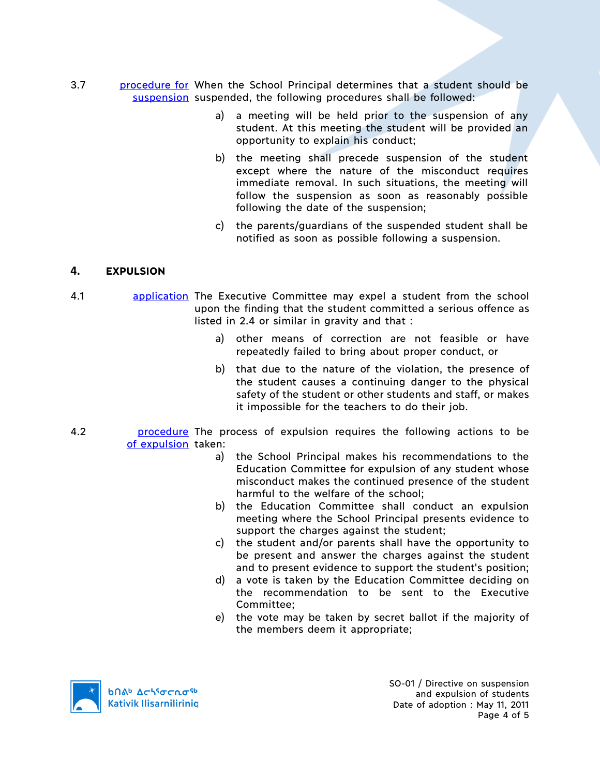- 3.7 **procedure for When the School Principal determines that a student should be** suspension suspended, the following procedures shall be followed:
	- a) a meeting will be held prior to the suspension of any student. At this meeting the student will be provided an opportunity to explain his conduct;
	- b) the meeting shall precede suspension of the student except where the nature of the misconduct requires immediate removal. In such situations, the meeting will follow the suspension as soon as reasonably possible following the date of the suspension;
	- c) the parents/guardians of the suspended student shall be notified as soon as possible following a suspension.

# **4. EXPULSION**

- 4.1 **application** The Executive Committee may expel a student from the school upon the finding that the student committed a serious offence as listed in 2.4 or similar in gravity and that :
	- a) other means of correction are not feasible or have repeatedly failed to bring about proper conduct, or
	- b) that due to the nature of the violation, the presence of the student causes a continuing danger to the physical safety of the student or other students and staff, or makes it impossible for the teachers to do their job.
- 4.2 **procedure** The process of expulsion requires the following actions to be of expulsion taken:
	- a) the School Principal makes his recommendations to the Education Committee for expulsion of any student whose misconduct makes the continued presence of the student harmful to the welfare of the school;
	- b) the Education Committee shall conduct an expulsion meeting where the School Principal presents evidence to support the charges against the student;
	- c) the student and/or parents shall have the opportunity to be present and answer the charges against the student and to present evidence to support the student's position;
	- d) a vote is taken by the Education Committee deciding on the recommendation to be sent to the Executive Committee;
	- e) the vote may be taken by secret ballot if the majority of the members deem it appropriate;